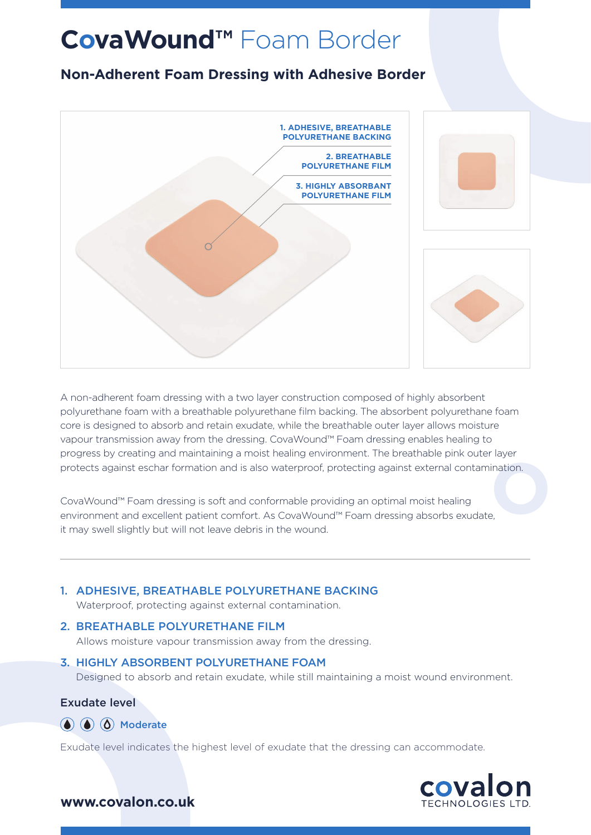# **CovaWound™** Foam Border

#### **Non-Adherent Foam Dressing with Adhesive Border**



A non-adherent foam dressing with a two layer construction composed of highly absorbent polyurethane foam with a breathable polyurethane film backing. The absorbent polyurethane foam core is designed to absorb and retain exudate, while the breathable outer layer allows moisture vapour transmission away from the dressing. CovaWound™ Foam dressing enables healing to progress by creating and maintaining a moist healing environment. The breathable pink outer layer protects against eschar formation and is also waterproof, protecting against external contamination.

CovaWound™ Foam dressing is soft and conformable providing an optimal moist healing environment and excellent patient comfort. As CovaWound™ Foam dressing absorbs exudate, it may swell slightly but will not leave debris in the wound.

- 1. ADHESIVE, BREATHABLE POLYURETHANE BACKING Waterproof, protecting against external contamination.
- 2. BREATHABLE POLYURETHANE FILM
	- Allows moisture vapour transmission away from the dressing.
- 3. HIGHLY ABSORBENT POLYURETHANE FOAM Designed to absorb and retain exudate, while still maintaining a moist wound environment.

#### Exudate level

(a) (a) Moderate

Exudate level indicates the highest level of exudate that the dressing can accommodate.



#### **www.covalon.co.uk**